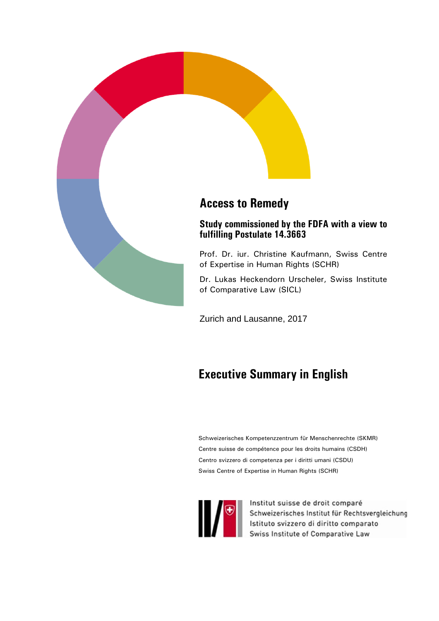

Zurich and Lausanne, 2017

# **Executive Summary in English**

Schweizerisches Kompetenzzentrum für Menschenrechte (SKMR) Centre suisse de compétence pour les droits humains (CSDH) Centro svizzero di competenza per i diritti umani (CSDU) Swiss Centre of Expertise in Human Rights (SCHR)



Institut suisse de droit comparé Schweizerisches Institut für Rechtsvergleichung<br>Istituto svizzero di diritto comparato<br>Swiss Institute of Comparative Law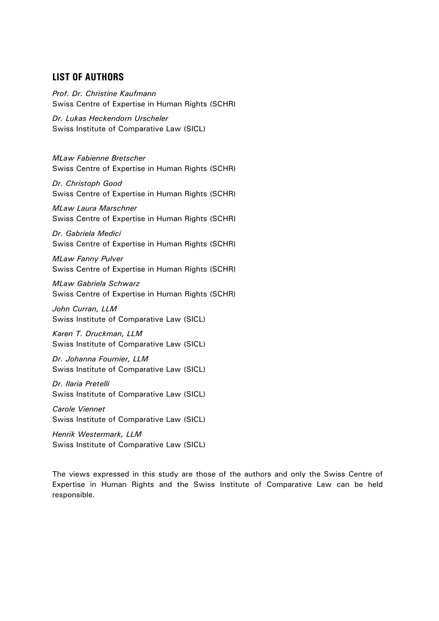# **LIST OF AUTHORS**

*Prof. Dr. Christine Kaufmann*  Swiss Centre of Expertise in Human Rights (SCHR)

*Dr. Lukas Heckendorn Urscheler*  Swiss Institute of Comparative Law (SICL)

*MLaw Fabienne Bretscher*  Swiss Centre of Expertise in Human Rights (SCHR)

*Dr. Christoph Good*  Swiss Centre of Expertise in Human Rights (SCHR)

*MLaw Laura Marschner*  Swiss Centre of Expertise in Human Rights (SCHR)

*Dr. Gabriela Medici*  Swiss Centre of Expertise in Human Rights (SCHR)

*MLaw Fanny Pulver*  Swiss Centre of Expertise in Human Rights (SCHR)

*MLaw Gabriela Schwarz*  Swiss Centre of Expertise in Human Rights (SCHR)

*John Curran, LLM*  Swiss Institute of Comparative Law (SICL)

*Karen T. Druckman, LLM*  Swiss Institute of Comparative Law (SICL)

*Dr. Johanna Fournier, LLM*  Swiss Institute of Comparative Law (SICL)

*Dr. Ilaria Pretelli*  Swiss Institute of Comparative Law (SICL)

*Carole Viennet*  Swiss Institute of Comparative Law (SICL)

*Henrik Westermark, LLM*  Swiss Institute of Comparative Law (SICL)

The views expressed in this study are those of the authors and only the Swiss Centre of Expertise in Human Rights and the Swiss Institute of Comparative Law can be held responsible.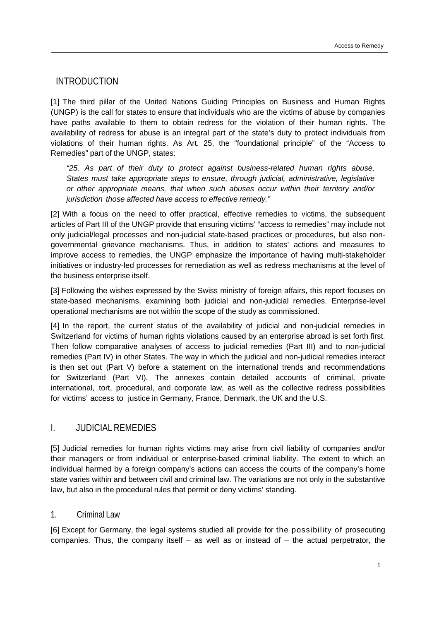INTRODUCTION

[1] The third pillar of the United Nations Guiding Principles on Business and Human Rights (UNGP) is the call for states to ensure that individuals who are the victims of abuse by companies have paths available to them to obtain redress for the violation of their human rights. The availability of redress for abuse is an integral part of the state's duty to protect individuals from violations of their human rights. As Art. 25, the "foundational principle" of the "Access to Remedies" part of the UNGP, states:

*"25. As part of their duty to protect against business-related human rights abuse, States must take appropriate steps to ensure, through judicial, administrative, legislative or other appropriate means, that when such abuses occur within their territory and/or jurisdiction those affected have access to effective remedy."*

[2] With a focus on the need to offer practical, effective remedies to victims, the subsequent articles of Part III of the UNGP provide that ensuring victims' "access to remedies" may include not only judicial/legal processes and non-judicial state-based practices or procedures, but also nongovernmental grievance mechanisms. Thus, in addition to states' actions and measures to improve access to remedies, the UNGP emphasize the importance of having multi-stakeholder initiatives or industry-led processes for remediation as well as redress mechanisms at the level of the business enterprise itself.

[3] Following the wishes expressed by the Swiss ministry of foreign affairs, this report focuses on state-based mechanisms, examining both judicial and non-judicial remedies. Enterprise-level operational mechanisms are not within the scope of the study as commissioned.

[4] In the report, the current status of the availability of judicial and non-judicial remedies in Switzerland for victims of human rights violations caused by an enterprise abroad is set forth first. Then follow comparative analyses of access to judicial remedies (Part III) and to non-judicial remedies (Part IV) in other States. The way in which the judicial and non-judicial remedies interact is then set out (Part V) before a statement on the international trends and recommendations for Switzerland (Part VI). The annexes contain detailed accounts of criminal, private international, tort, procedural, and corporate law, as well as the collective redress possibilities for victims' access to justice in Germany, France, Denmark, the UK and the U.S.

# I. JUDICIAL REMEDIES

[5] Judicial remedies for human rights victims may arise from civil liability of companies and/or their managers or from individual or enterprise-based criminal liability. The extent to which an individual harmed by a foreign company's actions can access the courts of the company's home state varies within and between civil and criminal law. The variations are not only in the substantive law, but also in the procedural rules that permit or deny victims' standing.

## 1. Criminal Law

[6] Except for Germany, the legal systems studied all provide for the possibility of prosecuting companies. Thus, the company itself  $-$  as well as or instead of  $-$  the actual perpetrator, the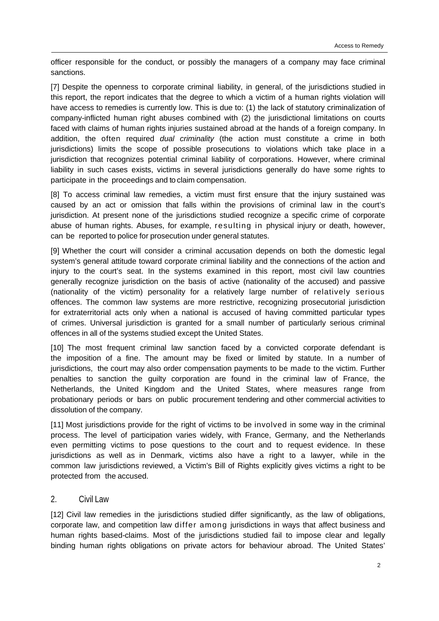officer responsible for the conduct, or possibly the managers of a company may face criminal sanctions.

[7] Despite the openness to corporate criminal liability, in general, of the jurisdictions studied in this report, the report indicates that the degree to which a victim of a human rights violation will have access to remedies is currently low. This is due to: (1) the lack of statutory criminalization of company-inflicted human right abuses combined with (2) the jurisdictional limitations on courts faced with claims of human rights injuries sustained abroad at the hands of a foreign company. In addition, the often required *dual criminality* (the action must constitute a crime in both jurisdictions) limits the scope of possible prosecutions to violations which take place in a jurisdiction that recognizes potential criminal liability of corporations. However, where criminal liability in such cases exists, victims in several jurisdictions generally do have some rights to participate in the proceedings and to claim compensation.

[8] To access criminal law remedies, a victim must first ensure that the injury sustained was caused by an act or omission that falls within the provisions of criminal law in the court's jurisdiction. At present none of the jurisdictions studied recognize a specific crime of corporate abuse of human rights. Abuses, for example, resulting in physical injury or death, however, can be reported to police for prosecution under general statutes.

[9] Whether the court will consider a criminal accusation depends on both the domestic legal system's general attitude toward corporate criminal liability and the connections of the action and injury to the court's seat. In the systems examined in this report, most civil law countries generally recognize jurisdiction on the basis of active (nationality of the accused) and passive (nationality of the victim) personality for a relatively large number of relatively serious offences. The common law systems are more restrictive, recognizing prosecutorial jurisdiction for extraterritorial acts only when a national is accused of having committed particular types of crimes. Universal jurisdiction is granted for a small number of particularly serious criminal offences in all of the systems studied except the United States.

[10] The most frequent criminal law sanction faced by a convicted corporate defendant is the imposition of a fine. The amount may be fixed or limited by statute. In a number of jurisdictions, the court may also order compensation payments to be made to the victim. Further penalties to sanction the guilty corporation are found in the criminal law of France, the Netherlands, the United Kingdom and the United States, where measures range from probationary periods or bars on public procurement tendering and other commercial activities to dissolution of the company.

[11] Most jurisdictions provide for the right of victims to be involved in some way in the criminal process. The level of participation varies widely, with France, Germany, and the Netherlands even permitting victims to pose questions to the court and to request evidence. In these jurisdictions as well as in Denmark, victims also have a right to a lawyer, while in the common law jurisdictions reviewed, a Victim's Bill of Rights explicitly gives victims a right to be protected from the accused.

## 2. Civil Law

[12] Civil law remedies in the jurisdictions studied differ significantly, as the law of obligations, corporate law, and competition law differ among jurisdictions in ways that affect business and human rights based-claims. Most of the jurisdictions studied fail to impose clear and legally binding human rights obligations on private actors for behaviour abroad. The United States'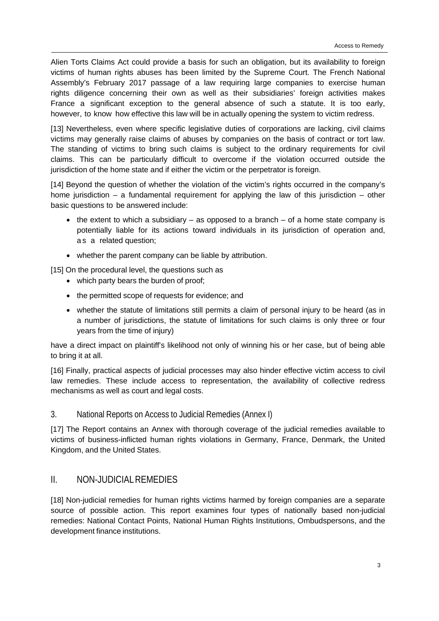Alien Torts Claims Act could provide a basis for such an obligation, but its availability to foreign victims of human rights abuses has been limited by the Supreme Court. The French National Assembly's February 2017 passage of a law requiring large companies to exercise human rights diligence concerning their own as well as their subsidiaries' foreign activities makes France a significant exception to the general absence of such a statute. It is too early, however, to know how effective this law will be in actually opening the system to victim redress.

[13] Nevertheless, even where specific legislative duties of corporations are lacking, civil claims victims may generally raise claims of abuses by companies on the basis of contract or tort law. The standing of victims to bring such claims is subject to the ordinary requirements for civil claims. This can be particularly difficult to overcome if the violation occurred outside the jurisdiction of the home state and if either the victim or the perpetrator is foreign.

[14] Beyond the question of whether the violation of the victim's rights occurred in the company's home jurisdiction – a fundamental requirement for applying the law of this jurisdiction – other basic questions to be answered include:

- $\bullet$  the extent to which a subsidiary as opposed to a branch of a home state company is potentially liable for its actions toward individuals in its jurisdiction of operation and, as a related question;
- whether the parent company can be liable by attribution.

[15] On the procedural level, the questions such as

- which party bears the burden of proof;
- the permitted scope of requests for evidence; and
- whether the statute of limitations still permits a claim of personal injury to be heard (as in a number of jurisdictions, the statute of limitations for such claims is only three or four years from the time of injury)

have a direct impact on plaintiff's likelihood not only of winning his or her case, but of being able to bring it at all.

[16] Finally, practical aspects of judicial processes may also hinder effective victim access to civil law remedies. These include access to representation, the availability of collective redress mechanisms as well as court and legal costs.

## 3. National Reports on Access to Judicial Remedies (Annex I)

[17] The Report contains an Annex with thorough coverage of the judicial remedies available to victims of business-inflicted human rights violations in Germany, France, Denmark, the United Kingdom, and the United States.

# II. NON-JUDICIAL REMEDIES

[18] Non-judicial remedies for human rights victims harmed by foreign companies are a separate source of possible action. This report examines four types of nationally based non-judicial remedies: National Contact Points, National Human Rights Institutions, Ombudspersons, and the development finance institutions.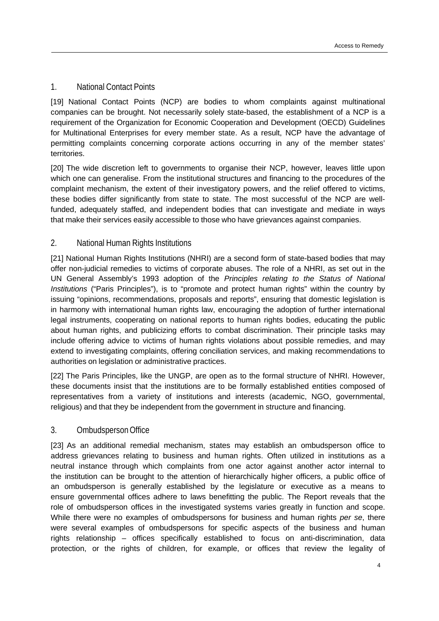## 1. National Contact Points

[19] National Contact Points (NCP) are bodies to whom complaints against multinational companies can be brought. Not necessarily solely state-based, the establishment of a NCP is a requirement of the Organization for Economic Cooperation and Development (OECD) Guidelines for Multinational Enterprises for every member state. As a result, NCP have the advantage of permitting complaints concerning corporate actions occurring in any of the member states' territories.

[20] The wide discretion left to governments to organise their NCP, however, leaves little upon which one can generalise. From the institutional structures and financing to the procedures of the complaint mechanism, the extent of their investigatory powers, and the relief offered to victims, these bodies differ significantly from state to state. The most successful of the NCP are wellfunded, adequately staffed, and independent bodies that can investigate and mediate in ways that make their services easily accessible to those who have grievances against companies.

## 2. National Human Rights Institutions

[21] National Human Rights Institutions (NHRI) are a second form of state-based bodies that may offer non-judicial remedies to victims of corporate abuses. The role of a NHRI, as set out in the UN General Assembly's 1993 adoption of the *Principles relating to the Status of National Institutions* ("Paris Principles"), is to "promote and protect human rights" within the country by issuing "opinions, recommendations, proposals and reports", ensuring that domestic legislation is in harmony with international human rights law, encouraging the adoption of further international legal instruments, cooperating on national reports to human rights bodies, educating the public about human rights, and publicizing efforts to combat discrimination. Their principle tasks may include offering advice to victims of human rights violations about possible remedies, and may extend to investigating complaints, offering conciliation services, and making recommendations to authorities on legislation or administrative practices.

[22] The Paris Principles, like the UNGP, are open as to the formal structure of NHRI. However, these documents insist that the institutions are to be formally established entities composed of representatives from a variety of institutions and interests (academic, NGO, governmental, religious) and that they be independent from the government in structure and financing.

## 3. Ombudsperson Office

[23] As an additional remedial mechanism, states may establish an ombudsperson office to address grievances relating to business and human rights. Often utilized in institutions as a neutral instance through which complaints from one actor against another actor internal to the institution can be brought to the attention of hierarchically higher officers, a public office of an ombudsperson is generally established by the legislature or executive as a means to ensure governmental offices adhere to laws benefitting the public. The Report reveals that the role of ombudsperson offices in the investigated systems varies greatly in function and scope. While there were no examples of ombudspersons for business and human rights *per se*, there were several examples of ombudspersons for specific aspects of the business and human rights relationship – offices specifically established to focus on anti-discrimination, data protection, or the rights of children, for example, or offices that review the legality of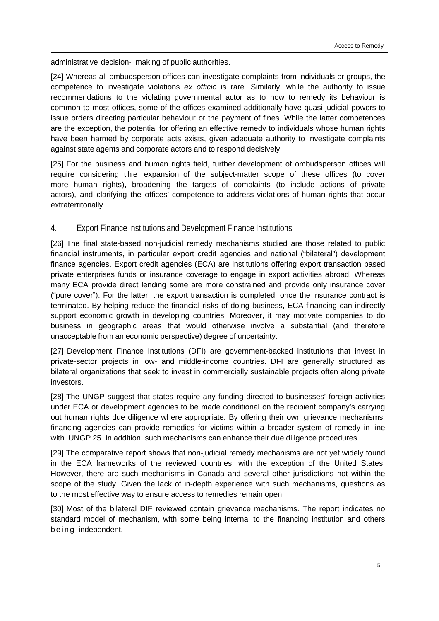administrative decision- making of public authorities.

[24] Whereas all ombudsperson offices can investigate complaints from individuals or groups, the competence to investigate violations *ex officio* is rare. Similarly, while the authority to issue recommendations to the violating governmental actor as to how to remedy its behaviour is common to most offices, some of the offices examined additionally have quasi-judicial powers to issue orders directing particular behaviour or the payment of fines. While the latter competences are the exception, the potential for offering an effective remedy to individuals whose human rights have been harmed by corporate acts exists, given adequate authority to investigate complaints against state agents and corporate actors and to respond decisively.

[25] For the business and human rights field, further development of ombudsperson offices will require considering the expansion of the subject-matter scope of these offices (to cover more human rights), broadening the targets of complaints (to include actions of private actors), and clarifying the offices' competence to address violations of human rights that occur extraterritorially.

## 4. Export Finance Institutions and Development Finance Institutions

[26] The final state-based non-judicial remedy mechanisms studied are those related to public financial instruments, in particular export credit agencies and national ("bilateral") development finance agencies. Export credit agencies (ECA) are institutions offering export transaction based private enterprises funds or insurance coverage to engage in export activities abroad. Whereas many ECA provide direct lending some are more constrained and provide only insurance cover ("pure cover"). For the latter, the export transaction is completed, once the insurance contract is terminated. By helping reduce the financial risks of doing business, ECA financing can indirectly support economic growth in developing countries. Moreover, it may motivate companies to do business in geographic areas that would otherwise involve a substantial (and therefore unacceptable from an economic perspective) degree of uncertainty.

[27] Development Finance Institutions (DFI) are government-backed institutions that invest in private-sector projects in low- and middle-income countries. DFI are generally structured as bilateral organizations that seek to invest in commercially sustainable projects often along private investors.

[28] The UNGP suggest that states require any funding directed to businesses' foreign activities under ECA or development agencies to be made conditional on the recipient company's carrying out human rights due diligence where appropriate. By offering their own grievance mechanisms, financing agencies can provide remedies for victims within a broader system of remedy in line with UNGP 25. In addition, such mechanisms can enhance their due diligence procedures.

[29] The comparative report shows that non-judicial remedy mechanisms are not yet widely found in the ECA frameworks of the reviewed countries, with the exception of the United States. However, there are such mechanisms in Canada and several other jurisdictions not within the scope of the study. Given the lack of in-depth experience with such mechanisms, questions as to the most effective way to ensure access to remedies remain open.

[30] Most of the bilateral DIF reviewed contain grievance mechanisms. The report indicates no standard model of mechanism, with some being internal to the financing institution and others b e in a independent.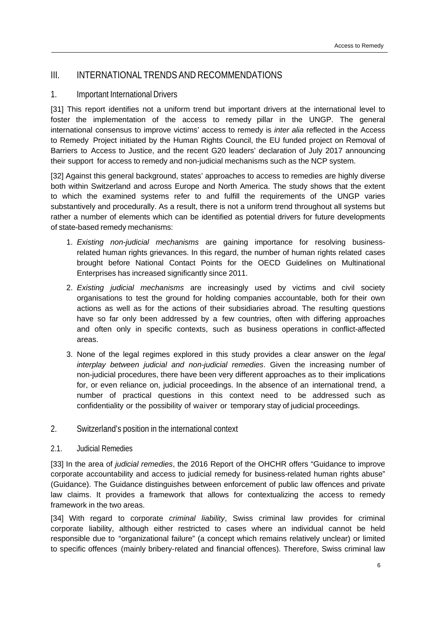## III. INTERNATIONAL TRENDS AND RECOMMENDATIONS

## 1. Important International Drivers

[31] This report identifies not a uniform trend but important drivers at the international level to foster the implementation of the access to remedy pillar in the UNGP. The general international consensus to improve victims' access to remedy is *inter alia* reflected in the Access to Remedy Project initiated by the Human Rights Council, the EU funded project on Removal of Barriers to Access to Justice, and the recent G20 leaders' declaration of July 2017 announcing their support for access to remedy and non-judicial mechanisms such as the NCP system.

[32] Against this general background, states' approaches to access to remedies are highly diverse both within Switzerland and across Europe and North America. The study shows that the extent to which the examined systems refer to and fulfill the requirements of the UNGP varies substantively and procedurally. As a result, there is not a uniform trend throughout all systems but rather a number of elements which can be identified as potential drivers for future developments of state-based remedy mechanisms:

- 1. *Existing non-judicial mechanisms* are gaining importance for resolving businessrelated human rights grievances. In this regard, the number of human rights related cases brought before National Contact Points for the OECD Guidelines on Multinational Enterprises has increased significantly since 2011.
- 2. *Existing judicial mechanisms* are increasingly used by victims and civil society organisations to test the ground for holding companies accountable, both for their own actions as well as for the actions of their subsidiaries abroad. The resulting questions have so far only been addressed by a few countries, often with differing approaches and often only in specific contexts, such as business operations in conflict-affected areas.
- 3. None of the legal regimes explored in this study provides a clear answer on the *legal interplay between judicial and non-judicial remedies*. Given the increasing number of non-judicial procedures, there have been very different approaches as to their implications for, or even reliance on, judicial proceedings. In the absence of an international trend, a number of practical questions in this context need to be addressed such as confidentiality or the possibility of waiver or temporary stay of judicial proceedings.
- 2. Switzerland's position in the international context

#### 2.1. Judicial Remedies

[33] In the area of *judicial remedies*, the 2016 Report of the OHCHR offers "Guidance to improve corporate accountability and access to judicial remedy for business-related human rights abuse" (Guidance). The Guidance distinguishes between enforcement of public law offences and private law claims. It provides a framework that allows for contextualizing the access to remedy framework in the two areas.

[34] With regard to corporate *criminal liability*, Swiss criminal law provides for criminal corporate liability, although either restricted to cases where an individual cannot be held responsible due to "organizational failure" (a concept which remains relatively unclear) or limited to specific offences (mainly bribery-related and financial offences). Therefore, Swiss criminal law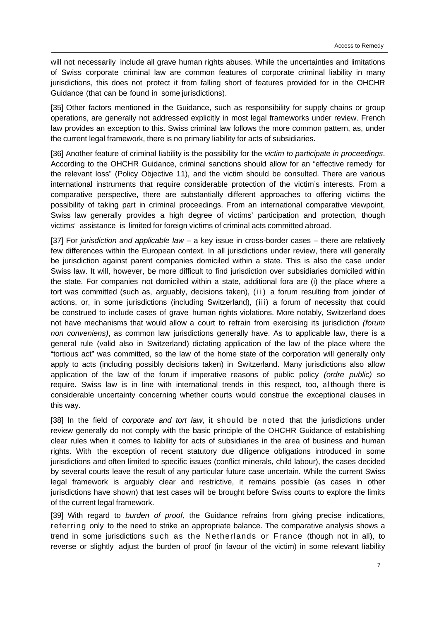will not necessarily include all grave human rights abuses. While the uncertainties and limitations of Swiss corporate criminal law are common features of corporate criminal liability in many jurisdictions, this does not protect it from falling short of features provided for in the OHCHR Guidance (that can be found in some jurisdictions).

[35] Other factors mentioned in the Guidance, such as responsibility for supply chains or group operations, are generally not addressed explicitly in most legal frameworks under review. French law provides an exception to this. Swiss criminal law follows the more common pattern, as, under the current legal framework, there is no primary liability for acts of subsidiaries.

[36] Another feature of criminal liability is the possibility for the *victim to participate in proceedings*. According to the OHCHR Guidance, criminal sanctions should allow for an "effective remedy for the relevant loss" (Policy Objective 11), and the victim should be consulted. There are various international instruments that require considerable protection of the victim's interests. From a comparative perspective, there are substantially different approaches to offering victims the possibility of taking part in criminal proceedings. From an international comparative viewpoint, Swiss law generally provides a high degree of victims' participation and protection, though victims' assistance is limited for foreign victims of criminal acts committed abroad.

[37] For *jurisdiction and applicable law* – a key issue in cross-border cases – there are relatively few differences within the European context. In all jurisdictions under review, there will generally be jurisdiction against parent companies domiciled within a state. This is also the case under Swiss law. It will, however, be more difficult to find jurisdiction over subsidiaries domiciled within the state. For companies not domiciled within a state, additional fora are (i) the place where a tort was committed (such as, arguably, decisions taken), (ii) a forum resulting from joinder of actions, or, in some jurisdictions (including Switzerland), (iii) a forum of necessity that could be construed to include cases of grave human rights violations. More notably, Switzerland does not have mechanisms that would allow a court to refrain from exercising its jurisdiction *(forum non conveniens)*, as common law jurisdictions generally have. As to applicable law, there is a general rule (valid also in Switzerland) dictating application of the law of the place where the "tortious act" was committed, so the law of the home state of the corporation will generally only apply to acts (including possibly decisions taken) in Switzerland. Many jurisdictions also allow application of the law of the forum if imperative reasons of public policy *(ordre public)* so require. Swiss law is in line with international trends in this respect, too, although there is considerable uncertainty concerning whether courts would construe the exceptional clauses in this way.

[38] In the field of *corporate and tort law*, it should be noted that the jurisdictions under review generally do not comply with the basic principle of the OHCHR Guidance of establishing clear rules when it comes to liability for acts of subsidiaries in the area of business and human rights. With the exception of recent statutory due diligence obligations introduced in some jurisdictions and often limited to specific issues (conflict minerals, child labour), the cases decided by several courts leave the result of any particular future case uncertain. While the current Swiss legal framework is arguably clear and restrictive, it remains possible (as cases in other jurisdictions have shown) that test cases will be brought before Swiss courts to explore the limits of the current legal framework.

[39] With regard to *burden of proof,* the Guidance refrains from giving precise indications, referring only to the need to strike an appropriate balance. The comparative analysis shows a trend in some jurisdictions such as the Netherlands or France (though not in all), to reverse or slightly adjust the burden of proof (in favour of the victim) in some relevant liability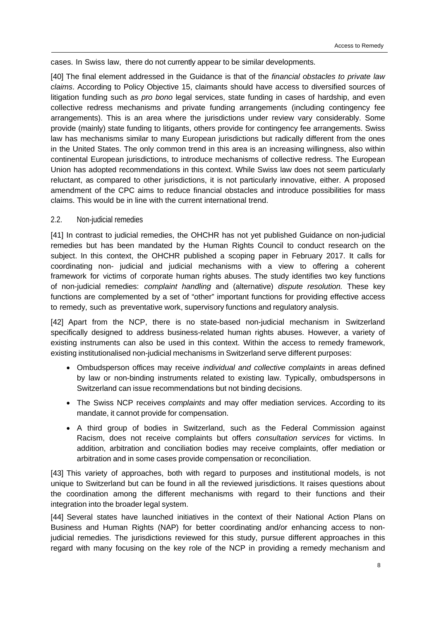cases. In Swiss law, there do not currently appear to be similar developments.

[40] The final element addressed in the Guidance is that of the *financial obstacles to private law claims*. According to Policy Objective 15, claimants should have access to diversified sources of litigation funding such as *pro bono* legal services, state funding in cases of hardship, and even collective redress mechanisms and private funding arrangements (including contingency fee arrangements). This is an area where the jurisdictions under review vary considerably. Some provide (mainly) state funding to litigants, others provide for contingency fee arrangements. Swiss law has mechanisms similar to many European jurisdictions but radically different from the ones in the United States. The only common trend in this area is an increasing willingness, also within continental European jurisdictions, to introduce mechanisms of collective redress. The European Union has adopted recommendations in this context. While Swiss law does not seem particularly reluctant, as compared to other jurisdictions, it is not particularly innovative, either. A proposed amendment of the CPC aims to reduce financial obstacles and introduce possibilities for mass claims. This would be in line with the current international trend.

#### 2.2. Non-judicial remedies

[41] In contrast to judicial remedies, the OHCHR has not yet published Guidance on non-judicial remedies but has been mandated by the Human Rights Council to conduct research on the subject. In this context, the OHCHR published a scoping paper in February 2017. It calls for coordinating non- judicial and judicial mechanisms with a view to offering a coherent framework for victims of corporate human rights abuses. The study identifies two key functions of non-judicial remedies: *complaint handling* and (alternative) *dispute resolution.* These key functions are complemented by a set of "other" important functions for providing effective access to remedy, such as preventative work, supervisory functions and regulatory analysis.

[42] Apart from the NCP, there is no state-based non-judicial mechanism in Switzerland specifically designed to address business-related human rights abuses. However, a variety of existing instruments can also be used in this context. Within the access to remedy framework, existing institutionalised non-judicial mechanisms in Switzerland serve different purposes:

- Ombudsperson offices may receive *individual and collective complaints* in areas defined by law or non-binding instruments related to existing law. Typically, ombudspersons in Switzerland can issue recommendations but not binding decisions.
- The Swiss NCP receives *complaints* and may offer mediation services. According to its mandate, it cannot provide for compensation.
- A third group of bodies in Switzerland, such as the Federal Commission against Racism, does not receive complaints but offers *consultation services* for victims. In addition, arbitration and conciliation bodies may receive complaints, offer mediation or arbitration and in some cases provide compensation or reconciliation.

[43] This variety of approaches, both with regard to purposes and institutional models, is not unique to Switzerland but can be found in all the reviewed jurisdictions. It raises questions about the coordination among the different mechanisms with regard to their functions and their integration into the broader legal system.

[44] Several states have launched initiatives in the context of their National Action Plans on Business and Human Rights (NAP) for better coordinating and/or enhancing access to nonjudicial remedies. The jurisdictions reviewed for this study, pursue different approaches in this regard with many focusing on the key role of the NCP in providing a remedy mechanism and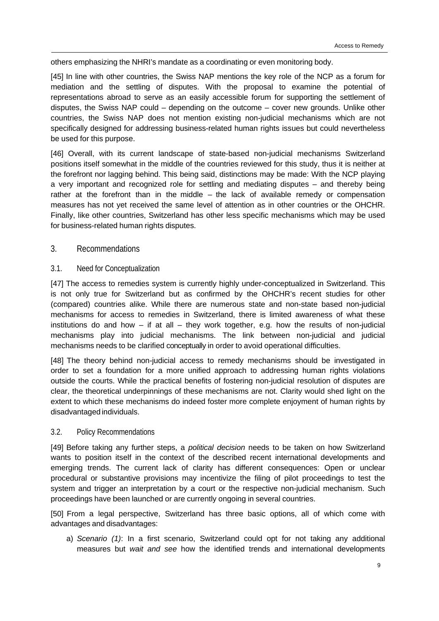others emphasizing the NHRI's mandate as a coordinating or even monitoring body.

[45] In line with other countries, the Swiss NAP mentions the key role of the NCP as a forum for mediation and the settling of disputes. With the proposal to examine the potential of representations abroad to serve as an easily accessible forum for supporting the settlement of disputes, the Swiss NAP could – depending on the outcome – cover new grounds. Unlike other countries, the Swiss NAP does not mention existing non-judicial mechanisms which are not specifically designed for addressing business-related human rights issues but could nevertheless be used for this purpose.

[46] Overall, with its current landscape of state-based non-judicial mechanisms Switzerland positions itself somewhat in the middle of the countries reviewed for this study, thus it is neither at the forefront nor lagging behind. This being said, distinctions may be made: With the NCP playing a very important and recognized role for settling and mediating disputes – and thereby being rather at the forefront than in the middle – the lack of available remedy or compensation measures has not yet received the same level of attention as in other countries or the OHCHR. Finally, like other countries, Switzerland has other less specific mechanisms which may be used for business-related human rights disputes.

## 3. Recommendations

#### 3.1. Need for Conceptualization

[47] The access to remedies system is currently highly under-conceptualized in Switzerland. This is not only true for Switzerland but as confirmed by the OHCHR's recent studies for other (compared) countries alike. While there are numerous state and non-state based non-judicial mechanisms for access to remedies in Switzerland, there is limited awareness of what these institutions do and how – if at all – they work together, e.g. how the results of non-judicial mechanisms play into judicial mechanisms. The link between non-judicial and judicial mechanisms needs to be clarified conceptually in order to avoid operational difficulties.

[48] The theory behind non-judicial access to remedy mechanisms should be investigated in order to set a foundation for a more unified approach to addressing human rights violations outside the courts. While the practical benefits of fostering non-judicial resolution of disputes are clear, the theoretical underpinnings of these mechanisms are not. Clarity would shed light on the extent to which these mechanisms do indeed foster more complete enjoyment of human rights by disadvantaged individuals.

#### 3.2. Policy Recommendations

[49] Before taking any further steps, a *political decision* needs to be taken on how Switzerland wants to position itself in the context of the described recent international developments and emerging trends. The current lack of clarity has different consequences: Open or unclear procedural or substantive provisions may incentivize the filing of pilot proceedings to test the system and trigger an interpretation by a court or the respective non-judicial mechanism. Such proceedings have been launched or are currently ongoing in several countries.

[50] From a legal perspective, Switzerland has three basic options, all of which come with advantages and disadvantages:

a) *Scenario (1)*: In a first scenario, Switzerland could opt for not taking any additional measures but *wait and see* how the identified trends and international developments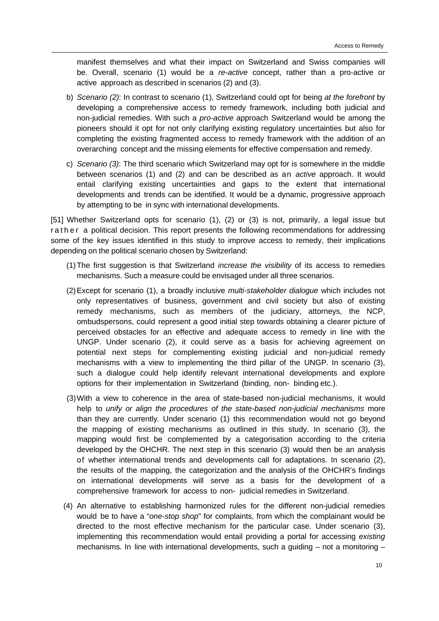manifest themselves and what their impact on Switzerland and Swiss companies will be. Overall, scenario (1) would be a *re-active* concept, rather than a pro-active or active approach as described in scenarios (2) and (3).

- b) *Scenario (2)*: In contrast to scenario (1), Switzerland could opt for being *at the forefront* by developing a comprehensive access to remedy framework, including both judicial and non-judicial remedies. With such a *pro-active* approach Switzerland would be among the pioneers should it opt for not only clarifying existing regulatory uncertainties but also for completing the existing fragmented access to remedy framework with the addition of an overarching concept and the missing elements for effective compensation and remedy.
- c) *Scenario (3)*: The third scenario which Switzerland may opt for is somewhere in the middle between scenarios (1) and (2) and can be described as an *active* approach. It would entail clarifying existing uncertainties and gaps to the extent that international developments and trends can be identified. It would be a dynamic, progressive approach by attempting to be in sync with international developments.

[51] Whether Switzerland opts for scenario (1), (2) or (3) is not, primarily, a legal issue but rather a political decision. This report presents the following recommendations for addressing some of the key issues identified in this study to improve access to remedy, their implications depending on the political scenario chosen by Switzerland:

- (1) The first suggestion is that Switzerland *increase the visibility* of its access to remedies mechanisms. Such a measure could be envisaged under all three scenarios.
- (2) Except for scenario (1), a broadly inclusive *multi-stakeholder dialogue* which includes not only representatives of business, government and civil society but also of existing remedy mechanisms, such as members of the judiciary, attorneys, the NCP, ombudspersons, could represent a good initial step towards obtaining a clearer picture of perceived obstacles for an effective and adequate access to remedy in line with the UNGP. Under scenario (2), it could serve as a basis for achieving agreement on potential next steps for complementing existing judicial and non-judicial remedy mechanisms with a view to implementing the third pillar of the UNGP. In scenario (3), such a dialogue could help identify relevant international developments and explore options for their implementation in Switzerland (binding, non- binding etc.).
- (3) With a view to coherence in the area of state-based non-judicial mechanisms, it would help to *unify or align the procedures of the state-based non-judicial mechanisms* more than they are currently. Under scenario (1) this recommendation would not go beyond the mapping of existing mechanisms as outlined in this study. In scenario (3), the mapping would first be complemented by a categorisation according to the criteria developed by the OHCHR. The next step in this scenario (3) would then be an analysis of whether international trends and developments call for adaptations. In scenario (2), the results of the mapping, the categorization and the analysis of the OHCHR's findings on international developments will serve as a basis for the development of a comprehensive framework for access to non- judicial remedies in Switzerland.
- (4) An alternative to establishing harmonized rules for the different non-judicial remedies would be to have a "*one-stop shop*" for complaints, from which the complainant would be directed to the most effective mechanism for the particular case. Under scenario (3), implementing this recommendation would entail providing a portal for accessing *existing*  mechanisms. In line with international developments, such a guiding – not a monitoring –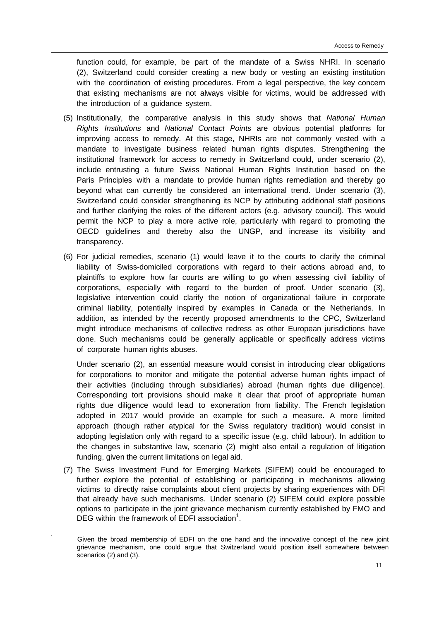function could, for example, be part of the mandate of a Swiss NHRI. In scenario (2), Switzerland could consider creating a new body or vesting an existing institution with the coordination of existing procedures. From a legal perspective, the key concern that existing mechanisms are not always visible for victims, would be addressed with the introduction of a guidance system.

- (5) Institutionally, the comparative analysis in this study shows that *National Human Rights Institutions* and *National Contact Points* are obvious potential platforms for improving access to remedy. At this stage, NHRIs are not commonly vested with a mandate to investigate business related human rights disputes. Strengthening the institutional framework for access to remedy in Switzerland could, under scenario (2), include entrusting a future Swiss National Human Rights Institution based on the Paris Principles with a mandate to provide human rights remediation and thereby go beyond what can currently be considered an international trend. Under scenario (3), Switzerland could consider strengthening its NCP by attributing additional staff positions and further clarifying the roles of the different actors (e.g. advisory council). This would permit the NCP to play a more active role, particularly with regard to promoting the OECD guidelines and thereby also the UNGP, and increase its visibility and transparency.
- (6) For judicial remedies, scenario (1) would leave it to the courts to clarify the criminal liability of Swiss-domiciled corporations with regard to their actions abroad and, to plaintiffs to explore how far courts are willing to go when assessing civil liability of corporations, especially with regard to the burden of proof. Under scenario (3), legislative intervention could clarify the notion of organizational failure in corporate criminal liability, potentially inspired by examples in Canada or the Netherlands. In addition, as intended by the recently proposed amendments to the CPC, Switzerland might introduce mechanisms of collective redress as other European jurisdictions have done. Such mechanisms could be generally applicable or specifically address victims of corporate human rights abuses.

Under scenario (2), an essential measure would consist in introducing clear obligations for corporations to monitor and mitigate the potential adverse human rights impact of their activities (including through subsidiaries) abroad (human rights due diligence). Corresponding tort provisions should make it clear that proof of appropriate human rights due diligence would lead to exoneration from liability. The French legislation adopted in 2017 would provide an example for such a measure. A more limited approach (though rather atypical for the Swiss regulatory tradition) would consist in adopting legislation only with regard to a specific issue (e.g. child labour). In addition to the changes in substantive law, scenario (2) might also entail a regulation of litigation funding, given the current limitations on legal aid.

(7) The Swiss Investment Fund for Emerging Markets (SIFEM) could be encouraged to further explore the potential of establishing or participating in mechanisms allowing victims to directly raise complaints about client projects by sharing experiences with DFI that already have such mechanisms. Under scenario (2) SIFEM could explore possible options to participate in the joint grievance mechanism currently established by FMO and DEG within the framework of EDFI association $1$ .

 $\frac{1}{1}$ 

Given the broad membership of EDFI on the one hand and the innovative concept of the new joint grievance mechanism, one could argue that Switzerland would position itself somewhere between scenarios (2) and (3).